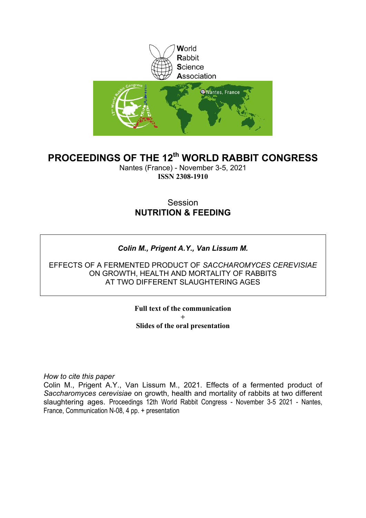

## **PROCEEDINGS OF THE 12th WORLD RABBIT CONGRESS**

Nantes (France) - November 3-5, 2021 **ISSN 2308-1910**

## Session **NUTRITION & FEEDING**

### *Colin M., Prigent A.Y., Van Lissum M.*

EFFECTS OF A FERMENTED PRODUCT OF *SACCHAROMYCES CEREVISIAE* ON GROWTH, HEALTH AND MORTALITY OF RABBITS AT TWO DIFFERENT SLAUGHTERING AGES

> **Full text of the communication + Slides of the oral presentation**

*How to cite this paper*

Colin M., Prigent A.Y., Van Lissum M., 2021. Effects of a fermented product of *Saccharomyces cerevisiae* on growth, health and mortality of rabbits at two different slaughtering ages. Proceedings 12th World Rabbit Congress - November 3-5 2021 - Nantes, France, Communication N-08, 4 pp. + presentation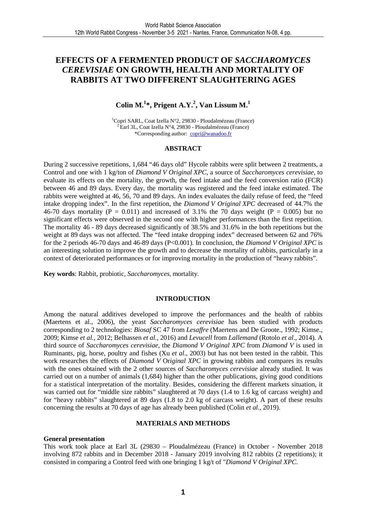### **EFFECTS OF A FERMENTED PRODUCT OF** *SACCHAROMYCES CEREVISIAE* **ON GROWTH, HEALTH AND MORTALITY OF RABBITS AT TWO DIFFERENT SLAUGHTERING AGES**

### **Colin M.<sup>1</sup> \*, Prigent A.Y.<sup>2</sup> , Van Lissum M.<sup>1</sup>**

<sup>1</sup>Copri SARL, Coat Izella N°2, 29830 - Ploudalmézeau (France)  $^{2}$ Earl 3L, Coat Izella N°4, 29830 - Ploudalmézeau (France) \*Corresponding author: copri@wanadoo.fr

#### **ABSTRACT**

During 2 successive repetitions, 1,684 "46 days old" Hycole rabbits were split between 2 treatments, a Control and one with 1 kg/ton of *Diamond V Original XPC,* a source of *Saccharomyces cerevisiae,* to evaluate its effects on the mortality, the growth, the feed intake and the feed conversion ratio (FCR) between 46 and 89 days. Every day, the mortality was registered and the feed intake estimated. The rabbits were weighted at 46, 56, 70 and 89 days. An index evaluates the daily refuse of feed, the "feed intake dropping index". In the first repetition, the *Diamond V Original XPC* decreased of 44.7% the 46-70 days mortality (P = 0.011) and increased of 3.1% the 70 days weight (P = 0.005) but no significant effects were observed in the second one with higher performances than the first repetition. The mortality 46 - 89 days decreased significantly of 38.5% and 31.6% in the both repetitions but the weight at 89 days was not affected. The "feed intake dropping index" decreased between 62 and 76% for the 2 periods 46-70 days and 46-89 days (P<0.001). In conclusion, the *Diamond V Original XPC* is an interesting solution to improve the growth and to decrease the mortality of rabbits, particularly in a context of deteriorated performances or for improving mortality in the production of "heavy rabbits".

**Key words**: Rabbit, probiotic, *Saccharomyces,* mortality*.*

#### **INTRODUCTION**

Among the natural additives developed to improve the performances and the health of rabbits (Maertens et al., 2006), the yeast *Saccharomyces cerevisiae* has been studied with products corresponding to 2 technologies: *Biosaf* SC 47 from *Lesaffre* (Maertens and De Groote., 1992; Kimse., 2009; Kimse *et al.,* 2012; Belhassen *et al.,* 2016) and *Levucell* from *Lallemand* (Rotolo *et al*., 2014). A third source of *Saccharomyces cerevisiae,* the *Diamond V Original XPC* from *Diamond V* is used in Ruminants, pig, horse, poultry and fishes (Xu *et al*., 2003) but has not been tested in the rabbit. This work researches the effects of *Diamond V* Or*iginal XPC* in growing rabbits and compares its results with the ones obtained with the 2 other sources of *Saccharomyces cerevisiae* already studied. It was carried out on a number of animals (1,684) higher than the other publications, giving good conditions for a statistical interpretation of the mortality. Besides, considering the different markets situation, it was carried out for "middle size rabbits" slaughtered at 70 days (1.4 to 1.6 kg of carcass weight) and for "heavy rabbits" slaughtered at 89 days (1.8 to 2.0 kg of carcass weight). A part of these results concerning the results at 70 days of age has already been published (Colin *et al*., 2019).

#### **MATERIALS AND METHODS**

#### **General presentation**

This work took place at Earl 3L (29830 – Ploudalmézeau (France) in October - November 2018 involving 872 rabbits and in December 2018 - January 2019 involving 812 rabbits (2 repetitions); it consisted in comparing a Control feed with one bringing 1 kg/t of "*Diamond V Original XPC*.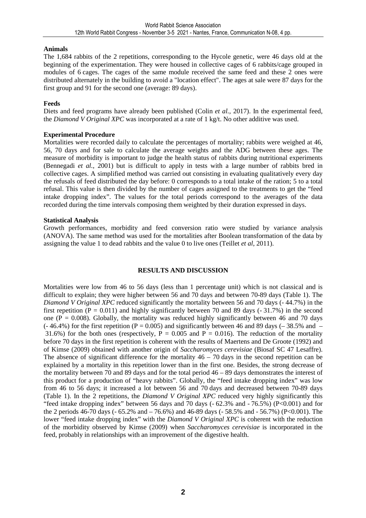#### **Animals**

The 1,684 rabbits of the 2 repetitions, corresponding to the Hycole genetic, were 46 days old at the beginning of the experimentation. They were housed in collective cages of 6 rabbits/cage grouped in modules of 6 cages. The cages of the same module received the same feed and these 2 ones were distributed alternately in the building to avoid a "location effect". The ages at sale were 87 days for the first group and 91 for the second one (average: 89 days).

#### **Feeds**

Diets and feed programs have already been published (Colin *et al.,* 2017). In the experimental feed, the *Diamond V Original XPC* was incorporated at a rate of 1 kg/t. No other additive was used.

#### **Experimental Procedure**

Mortalities were recorded daily to calculate the percentages of mortality; rabbits were weighed at 46, 56, 70 days and for sale to calculate the average weights and the ADG between these ages. The measure of morbidity is important to judge the health status of rabbits during nutritional experiments (Bennegadi *et al.,* 2001) but is difficult to apply in tests with a large number of rabbits bred in collective cages. A simplified method was carried out consisting in evaluating qualitatively every day the refusals of feed distributed the day before: 0 corresponds to a total intake of the ration; 5 to a total refusal. This value is then divided by the number of cages assigned to the treatments to get the "feed intake dropping index". The values for the total periods correspond to the averages of the data recorded during the time intervals composing them weighted by their duration expressed in days.

#### **Statistical Analysis**

Growth performances, morbidity and feed conversion ratio were studied by variance analysis (ANOVA). The same method was used for the mortalities after Boolean transformation of the data by assigning the value 1 to dead rabbits and the value 0 to live ones (Teillet *et al*, 2011).

#### **RESULTS AND DISCUSSION**

Mortalities were low from 46 to 56 days (less than 1 percentage unit) which is not classical and is difficult to explain; they were higher between 56 and 70 days and between 70-89 days (Table 1). The *Diamond V Original XPC* reduced significantly the mortality between 56 and 70 days (- 44.7%) in the first repetition ( $P = 0.011$ ) and highly significantly between 70 and 89 days (-31.7%) in the second one ( $P = 0.008$ ). Globally, the mortality was reduced highly significantly between 46 and 70 days  $(-46.4\%)$  for the first repetition (P = 0.005) and significantly between 46 and 89 days (–38.5% and – 31.6%) for the both ones (respectively,  $P = 0.005$  and  $P = 0.016$ ). The reduction of the mortality before 70 days in the first repetition is coherent with the results of Maertens and De Groote (1992) and of Kimse (2009) obtained with another origin of *Saccharomyces cerevisiae* (Biosaf SC 47 Lesaffre). The absence of significant difference for the mortality  $46 - 70$  days in the second repetition can be explained by a mortality in this repetition lower than in the first one. Besides, the strong decrease of the mortality between 70 and 89 days and for the total period 46 – 89 days demonstrates the interest of this product for a production of "heavy rabbits". Globally, the "feed intake dropping index" was low from 46 to 56 days; it increased a lot between 56 and 70 days and decreased between 70-89 days (Table 1). In the 2 repetitions, the *Diamond V Original XPC* reduced very highly significantly this "feed intake dropping index" between 56 days and 70 days (- 62.3% and - 76.5%) (P<0.001) and for the 2 periods 46-70 days (- 65.2% and – 76.6%) and 46-89 days (- 58.5% and - 56.7%) (P<0.001). The lower "feed intake dropping index" with the *Diamond V Original XPC* is coherent with the reduction of the morbidity observed by Kimse (2009) when *Saccharomyces cerevisiae* is incorporated in the feed, probably in relationships with an improvement of the digestive health.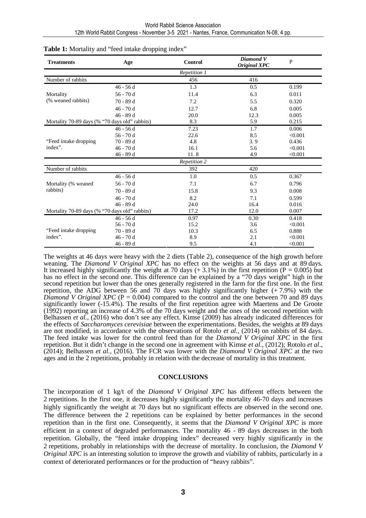| <b>Treatments</b>                              | Age         | <b>Control</b>      | Diamond V<br>Original XPC | $\mathbf P$ |
|------------------------------------------------|-------------|---------------------|---------------------------|-------------|
|                                                |             | Repetition 1        |                           |             |
| Number of rabbits                              |             | 456                 | 416                       |             |
|                                                | 46 - 56 d   | 1.3                 | 0.5                       | 0.199       |
| Mortality                                      | $56 - 70d$  | 11.4                | 6.3                       | 0.011       |
| (% weaned rabbits)                             | 70 - 89 d   | 7.2                 | 5.5                       | 0.320       |
|                                                | $46 - 70d$  | 12.7                | 6.8                       | 0.005       |
|                                                | $46 - 89$ d | 20.0                | 12.3                      | 0.005       |
| Mortality 70-89 days (% "70 days old" rabbits) |             | 8.3                 | 5.9                       | 0.215       |
|                                                | $46 - 56$ d | 7.23                | 1.7                       | 0.006       |
|                                                | $56 - 70d$  | 22.6                | 8.5                       | < 0.001     |
| "Feed intake dropping"                         | 70 - 89 d   | 4.8                 | 3.9                       | 0.436       |
| index".                                        | $46 - 70d$  | 16.1                | 5.6                       | < 0.001     |
|                                                | 46 - 89 d   | 11.8                | 4.9                       | < 0.001     |
|                                                |             | <b>Repetition 2</b> |                           |             |
| Number of rabbits                              |             | 392                 | 420                       |             |
|                                                | $46 - 56$ d | 1.0                 | 0.5                       | 0.367       |
| Mortality (% weaned                            | 56 - 70 d   | 7.1                 | 6.7                       | 0.796       |
| rabbits)                                       | 70 - 89 d   | 15.8                | 9.3                       | 0.008       |
|                                                | $46 - 70d$  | 8.2                 | 7.1                       | 0.599       |
|                                                | 46 - 89 d   | 24.0                | 16.4                      | 0.016       |
| Mortality 70-89 days (% "70 days old" rabbits) |             | 17.2                | 12.0                      | 0.007       |
|                                                | $46 - 56$ d | 0.97                | 0.30                      | 0.418       |
|                                                | $56 - 70d$  | 15.2                | 3.6                       | < 0.001     |
| "Feed intake dropping"                         | 70 - 89 d   | 10.3                | 6.5                       | 0.888       |
| index".                                        | 46 - 70 d   | 8.9                 | 2.1                       | < 0.001     |
|                                                | 46 - 89 d   | 9.5                 | 4.1                       | < 0.001     |

#### Table 1: Mortality and "feed intake dropping index"

The weights at 46 days were heavy with the 2 diets (Table 2), consequence of the high growth before weaning. The *Diamond V Original XPC* has no effect on the weights at 56 days and at 89 days*.*  It increased highly significantly the weight at 70 days  $(+3.1\%)$  in the first repetition (P = 0.005) but has no effect in the second one. This difference can be explained by a "70 days weight" high in the second repetition but lower than the ones generally registered in the farm for the first one. In the first repetition, the ADG between 56 and 70 days was highly significantly higher  $(+ 7.9%)$  with the *Diamond V Original XPC* ( $P = 0.004$ ) compared to the control and the one between 70 and 89 days significantly lower (-15.4%). The results of the first repetition agree with Maertens and De Groote (1992) reporting an increase of 4.3% of the 70 days weight and the ones of the second repetition with Belhassen et al., (2016) who don't see any effect. Kimse (2009) has already indicated differences for the effects of *Saccharomyces cerevisiae* between the experimentations. Besides, the weights at 89 days are not modified, in accordance with the observations of Rotolo *et al.,* (2014) on rabbits of 84 days. The feed intake was lower for the control feed than for the *Diamond V Original XPC* in the first repetition. But it didn't change in the second one in agreement with Kimse *et al.,* (2012); Rotolo *et al*., (2014); Belhassen *et al.,* (2016). The FCR was lower with the *Diamond V Original XPC* at the two ages and in the 2 repetitions*,* probably in relation with the decrease of mortality in this treatment.

#### **CONCLUSIONS**

The incorporation of 1 kg/t of the *Diamond V Original XPC* has different effects between the 2 repetitions. In the first one, it decreases highly significantly the mortality 46-70 days and increases highly significantly the weight at 70 days but no significant effects are observed in the second one. The difference between the 2 repetitions can be explained by better performances in the second repetition than in the first one. Consequently, it seems that the *Diamond V Original XPC* is more efficient in a context of degraded performances. The mortality 46 - 89 days decreases in the both repetition. Globally, the "feed intake dropping index" decreased very highly significantly in the 2 repetitions, probably in relationships with the decrease of mortality. In conclusion, the *Diamond V Original XPC* is an interesting solution to improve the growth and viability of rabbits, particularly in a context of deteriorated performances or for the production of "heavy rabbits".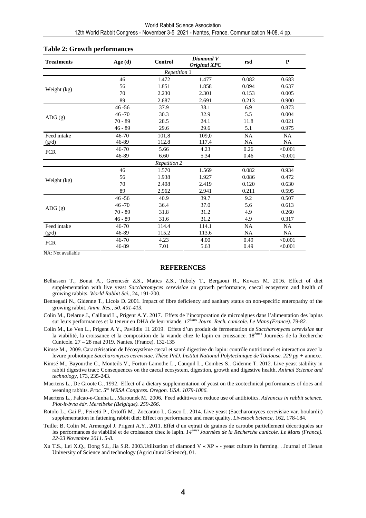| <b>Treatments</b>   | Age $(d)$ | Control | Diamond V<br><b>Original XPC</b> | rsd       | ${\bf P}$ |  |  |  |
|---------------------|-----------|---------|----------------------------------|-----------|-----------|--|--|--|
| Repetition 1        |           |         |                                  |           |           |  |  |  |
| Weight (kg)         | 46        | 1.472   | 1.477                            | 0.082     | 0.683     |  |  |  |
|                     | 56        | 1.851   | 1.858                            | 0.094     | 0.637     |  |  |  |
|                     | 70        | 2.230   | 2.301                            | 0.153     | 0.005     |  |  |  |
|                     | 89        | 2.687   | 2.691                            | 0.213     | 0.900     |  |  |  |
| $\overline{ADG}(g)$ | $46 - 56$ | 37.9    | 38.1                             | 6.9       | 0.873     |  |  |  |
|                     | $46 - 70$ | 30.3    | 32.9                             | 5.5       | 0.004     |  |  |  |
|                     | $70 - 89$ | 28.5    | 24.1                             | 11.8      | 0.021     |  |  |  |
|                     | $46 - 89$ | 29.6    | 29.6                             | 5.1       | 0.975     |  |  |  |
| Feed intake         | 46-70     | 101,8   | 109,0                            | <b>NA</b> | <b>NA</b> |  |  |  |
| (g/d)               | 46-89     | 112.8   | 117.4                            | <b>NA</b> | <b>NA</b> |  |  |  |
| <b>FCR</b>          | $46 - 70$ | 5.66    | 4.23                             | 0.26      | < 0.001   |  |  |  |
|                     | 46-89     | 6.60    | 5.34                             | 0.46      | < 0.001   |  |  |  |
| Repetition 2        |           |         |                                  |           |           |  |  |  |
| Weight (kg)         | 46        | 1.570   | 1.569                            | 0.082     | 0.934     |  |  |  |
|                     | 56        | 1.938   | 1.927                            | 0.086     | 0.472     |  |  |  |
|                     | 70        | 2.408   | 2.419                            | 0.120     | 0.630     |  |  |  |
|                     | 89        | 2.962   | 2.941                            | 0.211     | 0.595     |  |  |  |
| ADG(g)              | $46 - 56$ | 40.9    | 39.7                             | 9.2       | 0.507     |  |  |  |
|                     | $46 - 70$ | 36.4    | 37.0                             | 5.6       | 0.613     |  |  |  |
|                     | $70 - 89$ | 31.8    | 31.2                             | 4.9       | 0.260     |  |  |  |
|                     | $46 - 89$ | 31.6    | 31.2                             | 4.9       | 0.317     |  |  |  |
| Feed intake         | $46 - 70$ | 114.4   | 114.1                            | NA        | <b>NA</b> |  |  |  |
| (g/d)               | 46-89     | 115.2   | 113.6                            | NA        | <b>NA</b> |  |  |  |
| <b>FCR</b>          | 46-70     | 4.23    | 4.00                             | 0.49      | < 0.001   |  |  |  |
|                     | 46-89     | 7.01    | 5.63                             | 0.49      | < 0.001   |  |  |  |

#### **Table 2: Growth performances**

NA: Not available

#### **REFERENCES**

- Belhassen T., Bonai A., Gerencsér Z.S., Matics Z.S., Tuboly T., Bergaoui R., Kovacs M. 2016. Effect of diet supplementation with live yeast *Saccharomyces cerevisiae* on growth performance, caecal ecosystem and health of growing rabbits. *World Rabbit Sci*., 24, 191-200.
- Bennegadi N., Gidenne T., Licois D. 2001. Impact of fibre deficiency and sanitary status on non-specific enteropathy of the growing rabbit. *Anim. Res., 50. 401-413.*
- Colin M., Delarue J., Caillaud L., Prigent A.Y. 2017. Effets de l'incorporation de microalgues dans l'alimentation des lapins sur leurs performances et la teneur en DHA de leur viande*. 17èmes Journ. Rech. cunicole. Le Mans (France). 79-82.*
- Colin M., Le Ven L., Prigent A.Y., Pavlidis H. 2019. Effets d'un produit de fermentation de *Saccharomyces cerevisiae* sur la viabilité, la croissance et la composition de la viande chez le lapin en croissance. 18<sup>èmes</sup> Journées de la Recherche Cunicole. 27 – 28 mai 2019. Nantes. (France). 132-135
- Kimse M., 2009. Caractérisation de l'écosystème cæcal et santé digestive du lapin: contrôle nutritionnel et interaction avec la levure probiotique *Saccharomyces cerevisiae*. *Thèse PhD. Institut National Polytechnique de Toulouse. 229 pp +* annexe*.*
- Kimsé M., Bayourthe C., Monteils V., Fortun-Lamothe L., Cauquil L., Combes S., Gidenne T. 2012. Live yeast stability in rabbit digestive tract: Consequences on the caecal ecosystem, digestion, growth and digestive health. *Animal Science and technology,* 173, 235-243.
- Maertens L., De Groote G., 1992. Effect of a dietary supplementation of yeast on the zootechnical performances of does and weaning rabbits. *Proc. 5th WRSA Congress. Oregon. USA. 1079-1086.*
- Maertens L., Falcao-e-Cunha L., Marounek M. 2006. Feed additives to reduce use of antibiotics. *Advances in rabbit science. Plot-it-bvta édr. Merelbeke (Belgique). 259-266*.
- Rotolo L., Gai F., Peiretti P., Ortoffi M.; Zoccarato I., Gasco L. 2014. Live yeast (Saccharomyces cerevisiae var. boulardii) supplementation in fattening rabbit diet: Effect on performance and meat quality. *Livestock Science*, 162, 178-184.
- Teillet B. Colin M. Armengol J. Prigent A.Y., 2011. Effet d'un extrait de graines de caroube partiellement décortiquées sur les performances de viabilité et de croissance chez le lapin. *14èmes Journées de la Recherche cunicole. Le Mans (France). 22-23 Novembre 2011. 5-8.*
- Xu T.S., Lei X.Q., Dong S.L, Jia S.R. 2003.Utilization of diamond V « XP » yeast culture in farming. . Journal of Henan University of Science and technology (Agricultural Science), 01.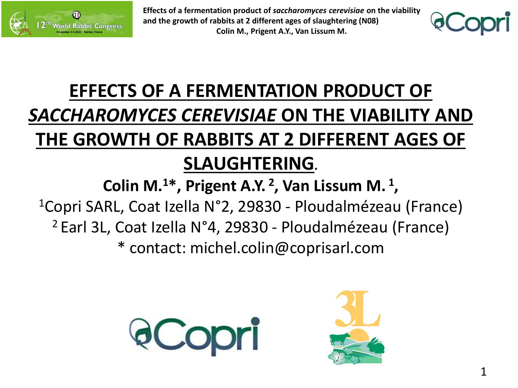



# **EFFECTS OF A FERMENTATION PRODUCT OF**  *SACCHAROMYCES CEREVISIAE* **ON THE VIABILITY AND THE GROWTH OF RABBITS AT 2 DIFFERENT AGES OF SLAUGHTERING.**

**Colin M.<sup>1</sup>\*, Prigent A.Y. 2 , Van Lissum M. 1 ,** <sup>1</sup>Copri SARL, Coat Izella N°2, 29830 - Ploudalmézeau (France) <sup>2</sup>Earl 3L, Coat Izella N°4, 29830 - Ploudalmézeau (France) \* contact: michel.colin@coprisarl.com



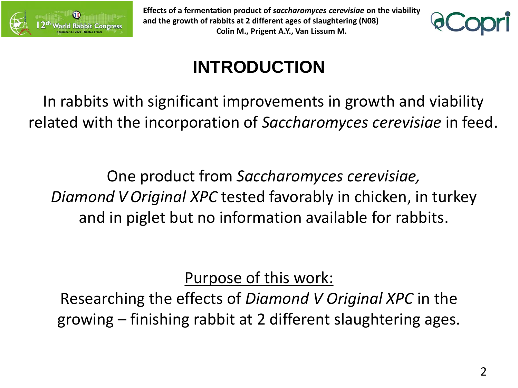



# **INTRODUCTION**

In rabbits with significant improvements in growth and viability related with the incorporation of *Saccharomyces cerevisiae* in feed.

One product from *Saccharomyces cerevisiae, Diamond V Original XPC* tested favorably in chicken, in turkey and in piglet but no information available for rabbits.

Purpose of this work:

Researching the effects of *Diamond V Original XPC* in the growing – finishing rabbit at 2 different slaughtering ages.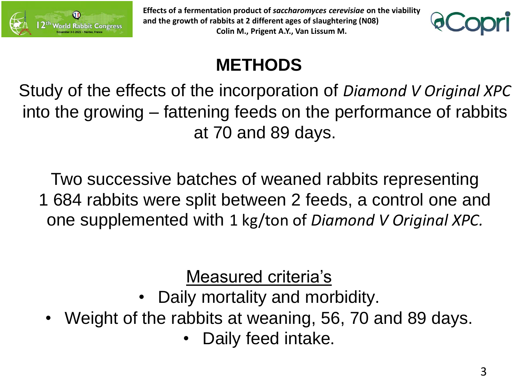



## **METHODS**

Study of the effects of the incorporation of *Diamond V Original XPC* into the growing – fattening feeds on the performance of rabbits at 70 and 89 days.

Two successive batches of weaned rabbits representing

1.684.rabbits were split between 2 feeds, a control one and one supplemented with 1 kg/ton of *Diamond V Original XPC.*

Measured criteria's

- Daily mortality and morbidity.
- Weight of the rabbits at weaning, 56, 70 and 89 days.
	- Daily feed intake.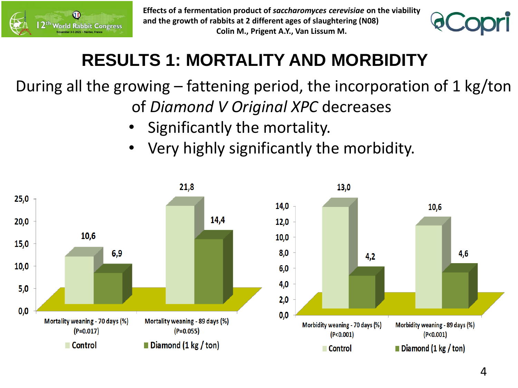



## **RESULTS 1: MORTALITY AND MORBIDITY**

## During all the growing – fattening period, the incorporation of 1 kg/ton of *Diamond V Original XPC* decreases

- Significantly the mortality.
- Very highly significantly the morbidity.

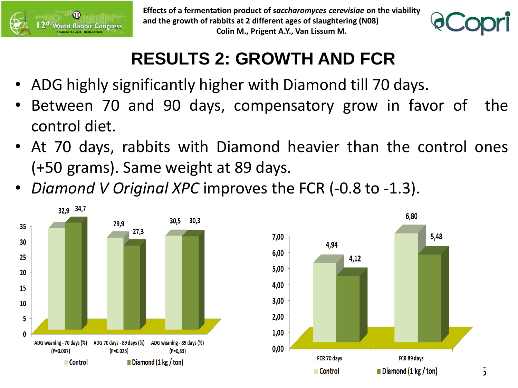



## **RESULTS 2: GROWTH AND FCR**

- ADG highly significantly higher with Diamond till 70 days.
- Between 70 and 90 days, compensatory grow in favor of the control diet.
- At 70 days, rabbits with Diamond heavier than the control ones (+50.grams). Same weight at 89 days.
- *Diamond V Original XPC* improves the FCR (-0.8 to -1.3).



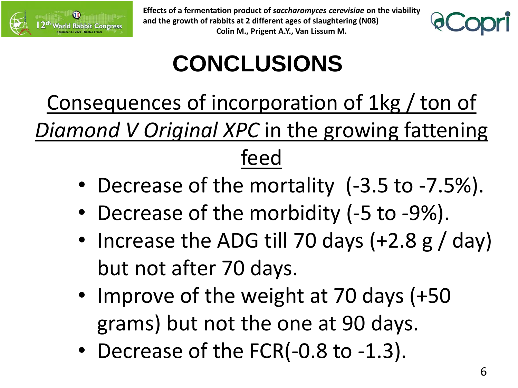



# **CONCLUSIONS**

Consequences of incorporation of 1kg / ton of *Diamond V Original XPC* in the growing fattening feed

- Decrease of the mortality (-3.5 to -7.5%).
- Decrease of the morbidity (-5 to -9%).
- Increase the ADG till 70 days (+2.8 g / day) but not after 70 days.
- Improve of the weight at 70 days (+50) grams) but not the one at 90 days.
- Decrease of the FCR(-0.8 to -1.3).